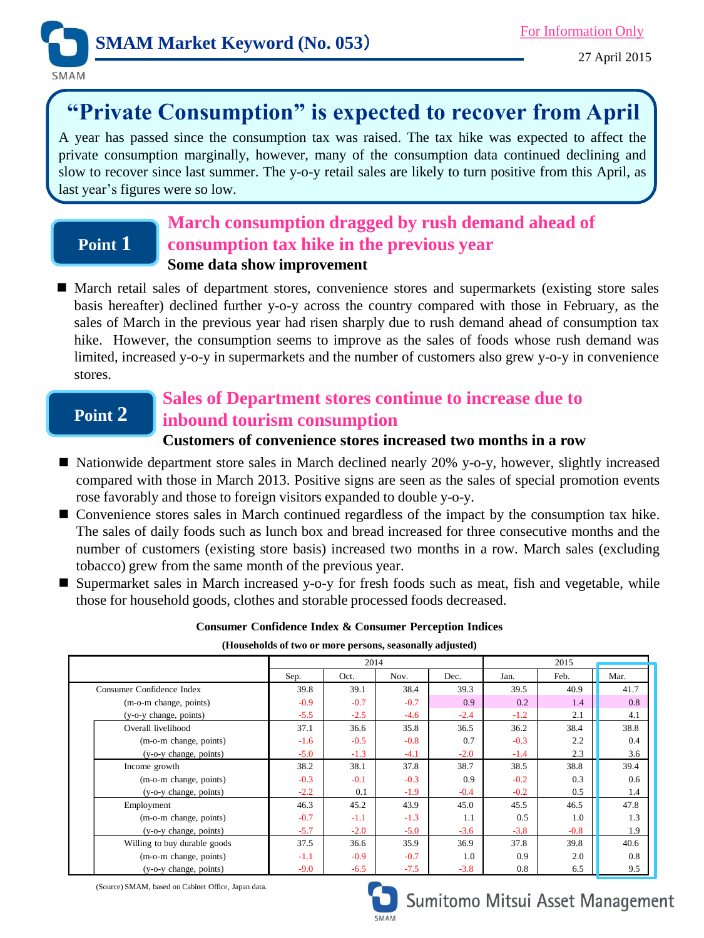

# **"Private Consumption" is expected to recover from April**

A year has passed since the consumption tax was raised. The tax hike was expected to affect the private consumption marginally, however, many of the consumption data continued declining and slow to recover since last summer. The y-o-y retail sales are likely to turn positive from this April, as last year's figures were so low.

## **March consumption dragged by rush demand ahead of consumption tax hike in the previous year Some data show improvement**

 March retail sales of department stores, convenience stores and supermarkets (existing store sales basis hereafter) declined further y-o-y across the country compared with those in February, as the sales of March in the previous year had risen sharply due to rush demand ahead of consumption tax hike. However, the consumption seems to improve as the sales of foods whose rush demand was limited, increased y-o-y in supermarkets and the number of customers also grew y-o-y in convenience stores.

## **Point 2**

**Point 1**

## **Sales of Department stores continue to increase due to inbound tourism consumption**

#### **Customers of convenience stores increased two months in a row**

- Nationwide department store sales in March declined nearly 20% y-o-y, however, slightly increased compared with those in March 2013. Positive signs are seen as the sales of special promotion events rose favorably and those to foreign visitors expanded to double y-o-y.
- $\blacksquare$  Convenience stores sales in March continued regardless of the impact by the consumption tax hike. The sales of daily foods such as lunch box and bread increased for three consecutive months and the number of customers (existing store basis) increased two months in a row. March sales (excluding tobacco) grew from the same month of the previous year.
- Supermarket sales in March increased y-o-y for fresh foods such as meat, fish and vegetable, while those for household goods, clothes and storable processed foods decreased.

#### **Consumer Confidence Index & Consumer Perception Indices**

**(Households of two or more persons, seasonally adjusted)**

|                              |        | 2014   |        |        |        | 2015   |      |  |
|------------------------------|--------|--------|--------|--------|--------|--------|------|--|
|                              | Sep.   | Oct.   | Nov.   | Dec.   | Jan.   | Feb.   | Mar. |  |
| Consumer Confidence Index    | 39.8   | 39.1   | 38.4   | 39.3   | 39.5   | 40.9   | 41.7 |  |
| (m-o-m change, points)       | $-0.9$ | $-0.7$ | $-0.7$ | 0.9    | 0.2    | 1.4    | 0.8  |  |
| (y-o-y change, points)       | $-5.5$ | $-2.5$ | $-4.6$ | $-2.4$ | $-1.2$ | 2.1    | 4.1  |  |
| Overall livelihood           | 37.1   | 36.6   | 35.8   | 36.5   | 36.2   | 38.4   | 38.8 |  |
| (m-o-m change, points)       | $-1.6$ | $-0.5$ | $-0.8$ | 0.7    | $-0.3$ | 2.2    | 0.4  |  |
| (y-o-y change, points)       | $-5.0$ | $-1.3$ | $-4.1$ | $-2.0$ | $-1.4$ | 2.3    | 3.6  |  |
| Income growth                | 38.2   | 38.1   | 37.8   | 38.7   | 38.5   | 38.8   | 39.4 |  |
| (m-o-m change, points)       | $-0.3$ | $-0.1$ | $-0.3$ | 0.9    | $-0.2$ | 0.3    | 0.6  |  |
| (y-o-y change, points)       | $-2.2$ | 0.1    | $-1.9$ | $-0.4$ | $-0.2$ | 0.5    | 1.4  |  |
| Employment                   | 46.3   | 45.2   | 43.9   | 45.0   | 45.5   | 46.5   | 47.8 |  |
| (m-o-m change, points)       | $-0.7$ | $-1.1$ | $-1.3$ | 1.1    | 0.5    | 1.0    | 1.3  |  |
| (y-o-y change, points)       | $-5.7$ | $-2.0$ | $-5.0$ | $-3.6$ | $-3.8$ | $-0.8$ | 1.9  |  |
| Willing to buy durable goods | 37.5   | 36.6   | 35.9   | 36.9   | 37.8   | 39.8   | 40.6 |  |
| (m-o-m change, points)       | $-1.1$ | $-0.9$ | $-0.7$ | 1.0    | 0.9    | 2.0    | 0.8  |  |
| (y-o-y change, points)       | $-9.0$ | $-6.5$ | $-7.5$ | $-3.8$ | 0.8    | 6.5    | 9.5  |  |

(Source) SMAM, based on Cabinet Office, Japan data.